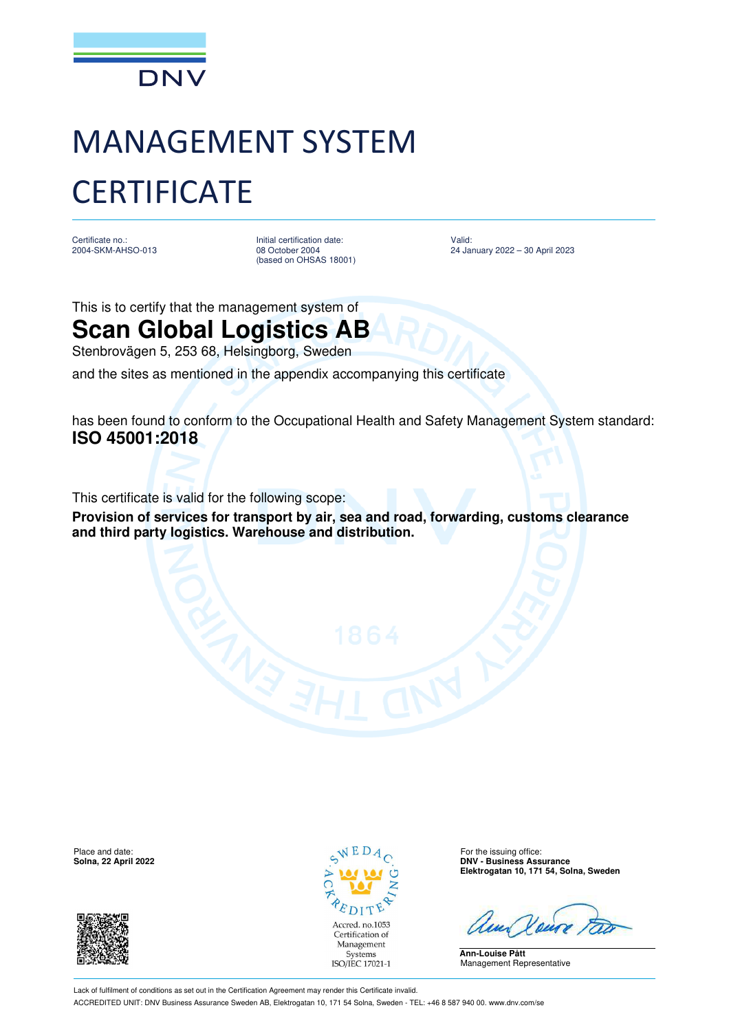

## MANAGEMENT SYSTEM **CERTIFICATE**

Certificate no.: 2004-SKM-AHSO-013 Initial certification date: 08 October 2004 (based on OHSAS 18001)

Valid: 24 January 2022 – 30 April 2023

This is to certify that the management system of

**Scan Global Logistics AB** Stenbrovägen 5, 253 68, Helsingborg, Sweden

and the sites as mentioned in the appendix accompanying this certificate

has been found to conform to the Occupational Health and Safety Management System standard: **ISO 45001:2018**

This certificate is valid for the following scope:

**Provision of services for transport by air, sea and road, forwarding, customs clearance and third party logistics. Warehouse and distribution.** 





**Solna, 22 April 2022 DNV - Business Assurance Elektrogatan 10, 171 54, Solna, Sweden**

**Ann-Louise Pått** Management Representative

Lack of fulfilment of conditions as set out in the Certification Agreement may render this Certificate invalid. ACCREDITED UNIT: DNV Business Assurance Sweden AB, Elektrogatan 10, 171 54 Solna, Sweden - TEL: +46 8 587 940 00. www.dnv.com/se